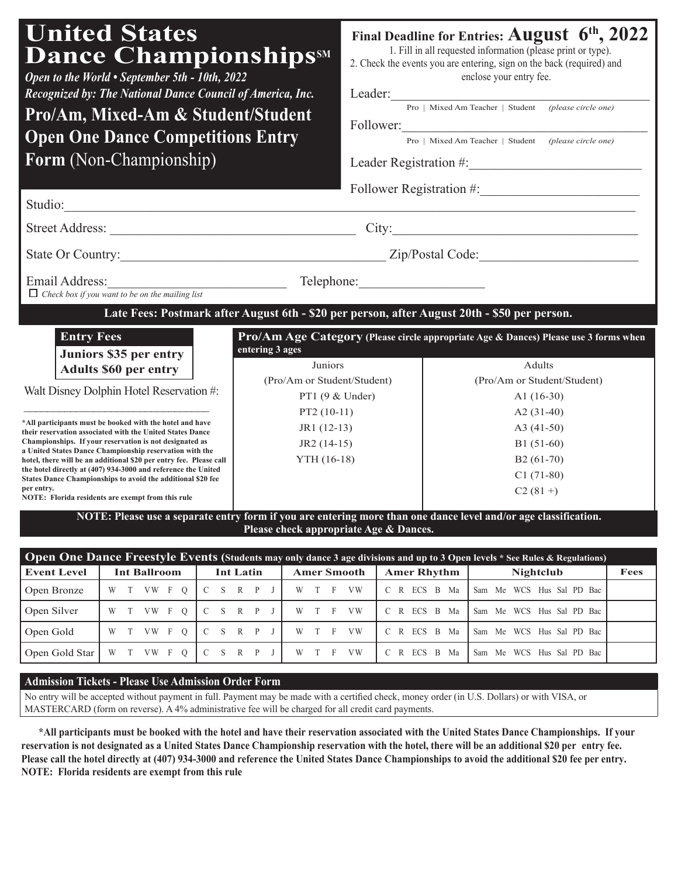| <b>United States</b><br><b>Dance Championships</b> sM<br>Open to the World • September 5th - 10th, 2022<br>Recognized by: The National Dance Council of America, Inc.<br>Pro/Am, Mixed-Am & Student/Student<br><b>Open One Dance Competitions Entry</b><br>Form (Non-Championship)                                                                                                                                                                                                                                                                                                                      |                                                                                                                           | Final Deadline for Entries: August 6 <sup>th</sup> , 2022<br>1. Fill in all requested information (please print or type).<br>2. Check the events you are entering, sign on the back (required) and<br>enclose your entry fee.<br>Leader:<br>Pro   Mixed Am Teacher   Student (please circle one)<br>Follower:<br>Pro   Mixed Am Teacher   Student (please circle one) |  |  |  |  |  |
|---------------------------------------------------------------------------------------------------------------------------------------------------------------------------------------------------------------------------------------------------------------------------------------------------------------------------------------------------------------------------------------------------------------------------------------------------------------------------------------------------------------------------------------------------------------------------------------------------------|---------------------------------------------------------------------------------------------------------------------------|-----------------------------------------------------------------------------------------------------------------------------------------------------------------------------------------------------------------------------------------------------------------------------------------------------------------------------------------------------------------------|--|--|--|--|--|
| Studio:                                                                                                                                                                                                                                                                                                                                                                                                                                                                                                                                                                                                 |                                                                                                                           | Follower Registration #:                                                                                                                                                                                                                                                                                                                                              |  |  |  |  |  |
|                                                                                                                                                                                                                                                                                                                                                                                                                                                                                                                                                                                                         |                                                                                                                           |                                                                                                                                                                                                                                                                                                                                                                       |  |  |  |  |  |
|                                                                                                                                                                                                                                                                                                                                                                                                                                                                                                                                                                                                         |                                                                                                                           |                                                                                                                                                                                                                                                                                                                                                                       |  |  |  |  |  |
| Telephone: Telephone:<br>Email Address:<br>$\Box$ Check box if you want to be on the mailing list                                                                                                                                                                                                                                                                                                                                                                                                                                                                                                       |                                                                                                                           |                                                                                                                                                                                                                                                                                                                                                                       |  |  |  |  |  |
| Late Fees: Postmark after August 6th - \$20 per person, after August 20th - \$50 per person.                                                                                                                                                                                                                                                                                                                                                                                                                                                                                                            |                                                                                                                           |                                                                                                                                                                                                                                                                                                                                                                       |  |  |  |  |  |
| <b>Entry Fees</b><br>Juniors \$35 per entry                                                                                                                                                                                                                                                                                                                                                                                                                                                                                                                                                             | entering 3 ages                                                                                                           | Pro/Am Age Category (Please circle appropriate Age & Dances) Please use 3 forms when                                                                                                                                                                                                                                                                                  |  |  |  |  |  |
| <b>Adults \$60 per entry</b><br>Walt Disney Dolphin Hotel Reservation #:<br>*All participants must be booked with the hotel and have<br>their reservation associated with the United States Dance<br>Championships. If your reservation is not designated as<br>a United States Dance Championship reservation with the<br>hotel, there will be an additional \$20 per entry fee. Please call<br>the hotel directly at (407) 934-3000 and reference the United<br><b>States Dance Championships to avoid the additional \$20 fee</b><br>per entry.<br>NOTE: Florida residents are exempt from this rule | Juniors<br>(Pro/Am or Student/Student)<br>PT1 $(9 &$ Under)<br>$PT2(10-11)$<br>JR1 (12-13)<br>$JR2(14-15)$<br>YTH (16-18) | Adults<br>(Pro/Am or Student/Student)<br>A1 $(16-30)$<br>A2 $(31-40)$<br>A3 $(41-50)$<br>$B1(51-60)$<br>$B2(61-70)$<br>$C1(71-80)$<br>$C2(81+)$                                                                                                                                                                                                                       |  |  |  |  |  |
|                                                                                                                                                                                                                                                                                                                                                                                                                                                                                                                                                                                                         | Please check appropriate Age & Dances.                                                                                    | NOTE: Please use a separate entry form if you are entering more than one dance level and/or age classification.                                                                                                                                                                                                                                                       |  |  |  |  |  |

| Open One Dance Freestyle Events (Students may only dance 3 age divisions and up to 3 Open levels * See Rules & Regulations) |                                                    |                  |                    |                                           |             |  |  |  |  |  |
|-----------------------------------------------------------------------------------------------------------------------------|----------------------------------------------------|------------------|--------------------|-------------------------------------------|-------------|--|--|--|--|--|
| <b>Event Level</b>                                                                                                          | <b>Int Ballroom</b>                                | <b>Int Latin</b> | <b>Amer Smooth</b> | <b>Amer Rhythm</b><br><b>Nightclub</b>    | <b>Fees</b> |  |  |  |  |  |
| Open Bronze                                                                                                                 | W T VW F O   C S R P J   W T F VW                  |                  |                    | C R ECS B Ma<br>Sam Me WCS Hus Sal PD Bac |             |  |  |  |  |  |
| Open Silver                                                                                                                 | W T VW F O   C S R P J   W T F VW                  |                  |                    | C R ECS B Ma<br>Sam Me WCS Hus Sal PD Bac |             |  |  |  |  |  |
| Open Gold                                                                                                                   | W T VW F O   C S R P J   W T F VW                  |                  |                    | C R ECS B Ma<br>Sam Me WCS Hus Sal PD Bac |             |  |  |  |  |  |
|                                                                                                                             | Open Gold Star   W T VW F Q   C S R P J   W T F VW |                  |                    | C R ECS B Ma<br>Sam Me WCS Hus Sal PD Bac |             |  |  |  |  |  |

#### **Admission Tickets - Please Use Admission Order Form**

No entry will be accepted without payment in full. Payment may be made with a certified check, money order (in U.S. Dollars) or with VISA, or MASTERCARD (form on reverse). A 4% administrative fee will be charged for all credit card payments.

**\*All participants must be booked with the hotel and have their reservation associated with the United States Dance Championships. If your reservation is not designated as a United States Dance Championship reservation with the hotel, there will be an additional \$20 per entry fee. Please call the hotel directly at (407) 934-3000 and reference the United States Dance Championships to avoid the additional \$20 fee per entry. NOTE: Florida residents are exempt from this rule**